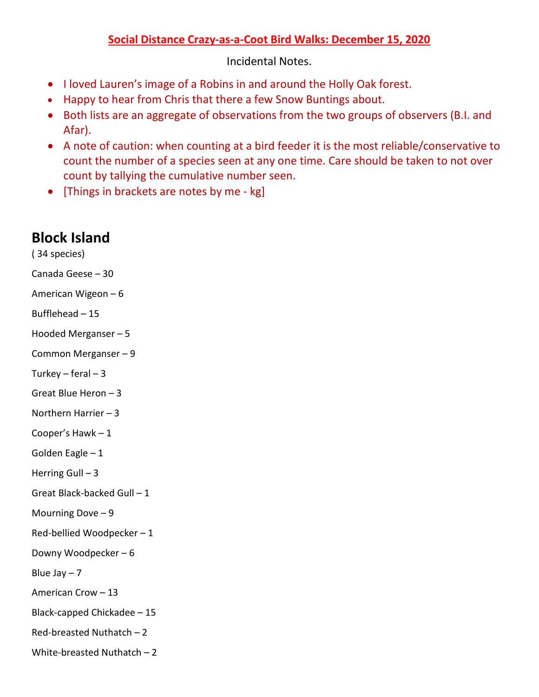## **Social Distance Crazy-as-a-Coot Bird Walks: December 15, 2020**

Incidental Notes.

- I loved Lauren's image of a Robins in and around the Holly Oak forest.
- Happy to hear from Chris that there a few Snow Buntings about.
- Both lists are an aggregate of observations from the two groups of observers (B.I. and Afar).
- A note of caution: when counting at a bird feeder it is the most reliable/conservative to count the number of a species seen at any one time. Care should be taken to not over count by tallying the cumulative number seen.
- [Things in brackets are notes by me kg]

## **Block Island**

( 34 species) Canada Geese – 30 American Wigeon – 6 Bufflehead – 15 Hooded Merganser – 5 Common Merganser – 9 Turkey – feral –  $3$ Great Blue Heron – 3 Northern Harrier – 3 Cooper's Hawk – 1 Golden Eagle – 1 Herring Gull  $-3$ Great Black-backed Gull – 1 Mourning Dove – 9 Red-bellied Woodpecker – 1 Downy Woodpecker – 6 Blue Jay  $-7$ American Crow – 13 Black-capped Chickadee – 15 Red-breasted Nuthatch – 2 White-breasted Nuthatch – 2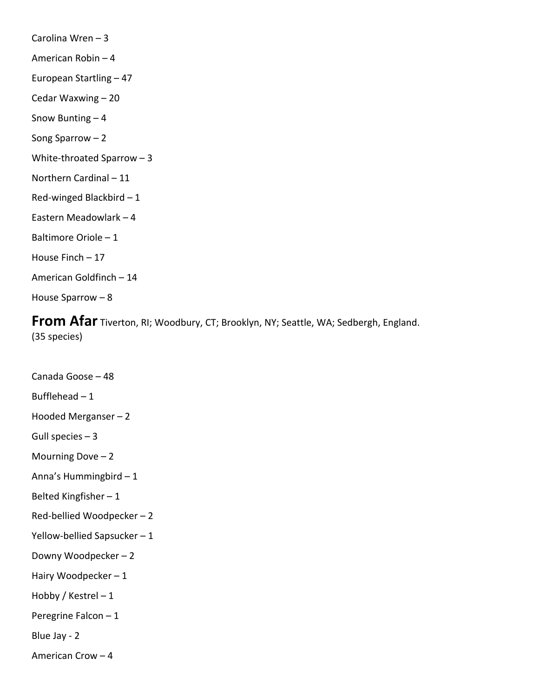Carolina Wren – 3 American Robin – 4 European Startling – 47 Cedar Waxwing – 20 Snow Bunting – 4 Song Sparrow – 2 White-throated Sparrow – 3 Northern Cardinal – 11 Red-winged Blackbird – 1 Eastern Meadowlark – 4 Baltimore Oriole – 1 House Finch – 17 American Goldfinch – 14 House Sparrow – 8

**From Afar** Tiverton, RI; Woodbury, CT; Brooklyn, NY; Seattle, WA; Sedbergh, England. (35 species)

Canada Goose – 48 Bufflehead  $-1$ Hooded Merganser – 2 Gull species  $-3$ Mourning Dove – 2 Anna's Hummingbird – 1 Belted Kingfisher – 1 Red-bellied Woodpecker – 2 Yellow-bellied Sapsucker – 1 Downy Woodpecker – 2 Hairy Woodpecker – 1 Hobby / Kestrel – 1 Peregrine Falcon – 1 Blue Jay - 2 American Crow – 4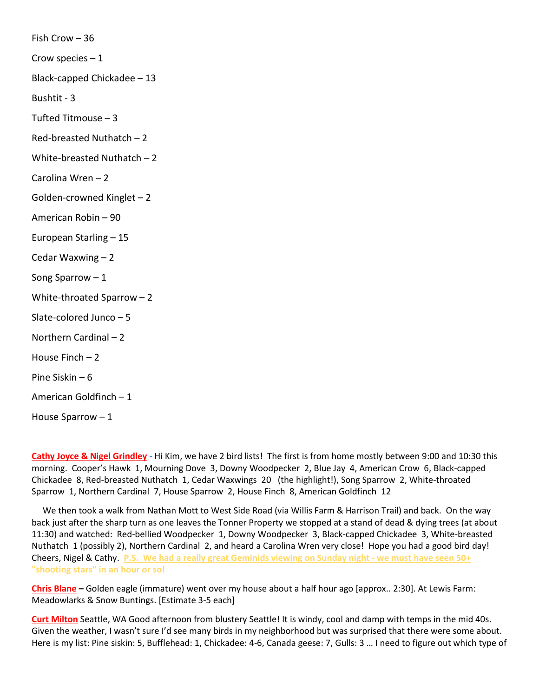Fish Crow – 36 Crow species  $-1$ Black-capped Chickadee – 13 Bushtit - 3 Tufted Titmouse – 3 Red-breasted Nuthatch – 2 White-breasted Nuthatch – 2 Carolina Wren – 2 Golden-crowned Kinglet – 2 American Robin – 90 European Starling – 15 Cedar Waxwing – 2 Song Sparrow  $-1$ White-throated Sparrow – 2 Slate-colored Junco – 5 Northern Cardinal – 2 House Finch – 2 Pine Siskin – 6 American Goldfinch – 1 House Sparrow – 1

**Cathy Joyce & Nigel Grindley -** Hi Kim, we have 2 bird lists! The first is from home mostly between 9:00 and 10:30 this morning. Cooper's Hawk 1, Mourning Dove 3, Downy Woodpecker 2, Blue Jay 4, American Crow 6, Black-capped Chickadee 8, Red-breasted Nuthatch 1, Cedar Waxwings 20 (the highlight!), Song Sparrow 2, White-throated Sparrow 1, Northern Cardinal 7, House Sparrow 2, House Finch 8, American Goldfinch 12

 We then took a walk from Nathan Mott to West Side Road (via Willis Farm & Harrison Trail) and back. On the way back just after the sharp turn as one leaves the Tonner Property we stopped at a stand of dead & dying trees (at about 11:30) and watched: Red-bellied Woodpecker 1, Downy Woodpecker 3, Black-capped Chickadee 3, White-breasted Nuthatch 1 (possibly 2), Northern Cardinal 2, and heard a Carolina Wren very close! Hope you had a good bird day! Cheers, Nigel & Cathy. **P.S. We had a really great Geminids viewing on Sunday night - we must have seen 50+ "shooting stars" in an hour or so!**

**Chris Blane –** Golden eagle (immature) went over my house about a half hour ago [approx.. 2:30]. At Lewis Farm: Meadowlarks & Snow Buntings. [Estimate 3-5 each]

**Curt Milton** Seattle, WA Good afternoon from blustery Seattle! It is windy, cool and damp with temps in the mid 40s. Given the weather, I wasn't sure I'd see many birds in my neighborhood but was surprised that there were some about. Here is my list: Pine siskin: 5, Bufflehead: 1, Chickadee: 4-6, Canada geese: 7, Gulls: 3 … I need to figure out which type of